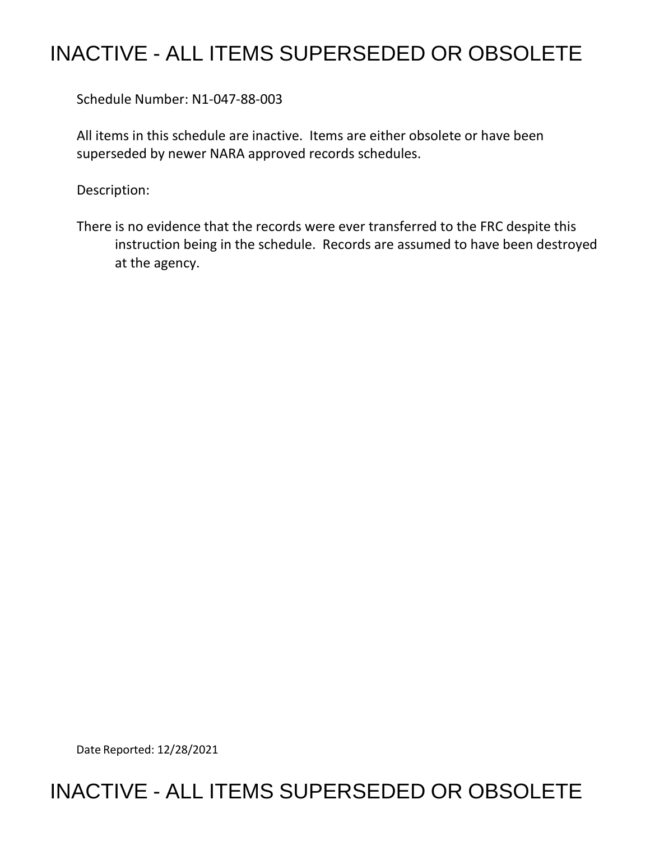## INACTIVE - ALL ITEMS SUPERSEDED OR OBSOLETE

Schedule Number: N1-047-88-003

 All items in this schedule are inactive. Items are either obsolete or have been superseded by newer NARA approved records schedules.

Description:

 There is no evidence that the records were ever transferred to the FRC despite this instruction being in the schedule. Records are assumed to have been destroyed at the agency.

Date Reported: 12/28/2021

## INACTIVE - ALL ITEMS SUPERSEDED OR OBSOLETE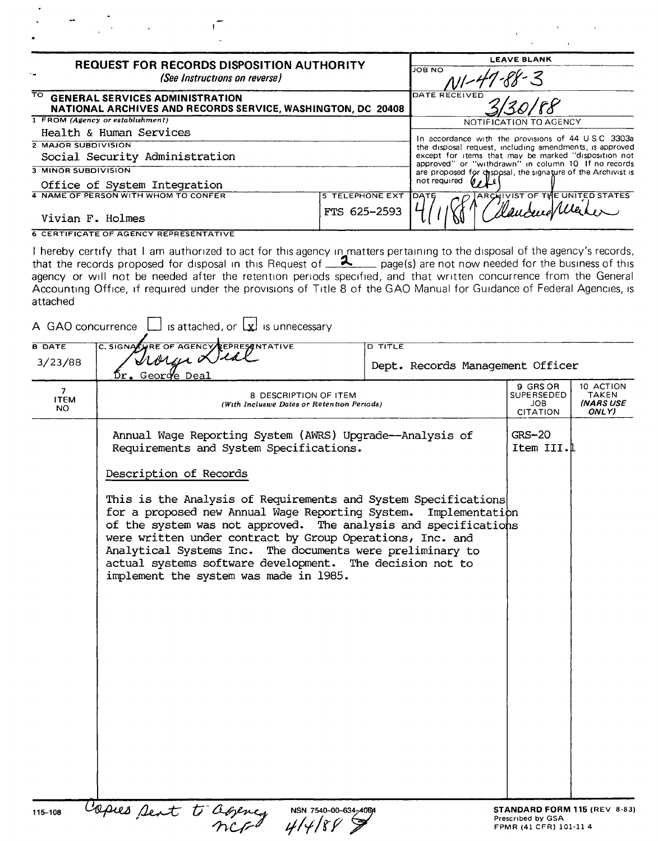| <b>REQUEST FOR RECORDS DISPOSITION AUTHORITY</b><br>(See Instructions on reverse)                                                 |                                                                                                                                                                             | <b>LEAVE BLANK</b>                                                                                           |  |
|-----------------------------------------------------------------------------------------------------------------------------------|-----------------------------------------------------------------------------------------------------------------------------------------------------------------------------|--------------------------------------------------------------------------------------------------------------|--|
|                                                                                                                                   |                                                                                                                                                                             | <b>JOB NO</b>                                                                                                |  |
| $\overline{\mathrm{TO}}$<br><b>GENERAL SERVICES ADMINISTRATION</b><br>NATIONAL ARCHIVES AND RECORDS SERVICE, WASHINGTON, DC 20408 |                                                                                                                                                                             | DATE RECEIVED                                                                                                |  |
| 1 FROM (Agency or establishment)                                                                                                  |                                                                                                                                                                             |                                                                                                              |  |
| Health & Human Services                                                                                                           |                                                                                                                                                                             |                                                                                                              |  |
| <b>2 MAJOR SUBDIVISION</b>                                                                                                        |                                                                                                                                                                             | In accordance with the provisions of 44 USC 3303a<br>the disposal request, including amendments, is approved |  |
| Social Security Administration                                                                                                    | except for items that may be marked "disposition not<br>approved" or "withdrawn" in column 10 If no records<br>are proposed for chsposal, the signature of the Archivist is |                                                                                                              |  |
| 3 MINOR SUBDIVISION                                                                                                               |                                                                                                                                                                             |                                                                                                              |  |
| Office of System Integration                                                                                                      |                                                                                                                                                                             | not required                                                                                                 |  |
| 4 NAME OF PERSON WITH WHOM TO CONFER                                                                                              | <b>5 TELEPHONE EXT</b>                                                                                                                                                      | <b>ARCHIVIST OF THE UNITED STATES</b><br><b>DATE</b>                                                         |  |
| Vivian F. Holmes                                                                                                                  | FTS 625-2593                                                                                                                                                                |                                                                                                              |  |
| <b>6 CERTIFICATE OF AGENCY REPRESENTATIVE</b>                                                                                     |                                                                                                                                                                             |                                                                                                              |  |

 $\epsilon$ 

 $\Delta \sim 10^4$ 

 $\frac{d\mathbf{p}}{d\mathbf{p}} = \frac{1}{2}\sum_{i=1}^{n} \frac{1}{2} \left( \frac{d\mathbf{p}}{d\mathbf{p}} \right)^2 \left( \frac{d\mathbf{p}}{d\mathbf{p}} \right)^2 \left( \frac{d\mathbf{p}}{d\mathbf{p}} \right)^2 \left( \frac{d\mathbf{p}}{d\mathbf{p}} \right)^2 \left( \frac{d\mathbf{p}}{d\mathbf{p}} \right)^2 \left( \frac{d\mathbf{p}}{d\mathbf{p}} \right)^2 \left( \frac{d\mathbf{p}}{d\mathbf{p}} \right)^2 \left($ 

 $\mathbf{1}^{\top}$ 

I hereby certify that I am authorized to act for this agency in matters pertaining to the disposal of the agency's records, that the records proposed for disposal in this Request of  $\frac{2}{1}$  page(s) are not now needed for the business of this agency or will not be needed after the retention periods specified, and that written concurrence from the General Accounting Office, if required under the provisions of Title 8 of the GAO Manual for Guidance of Federal Agencies, is attached

| A GAO concurrence                              | is attached, or $\lfloor x \rfloor$ is unnecessary                                                                                                                                                                                                                                                                                                                                                                                   |                                                    |                                                                             |                                                 |  |
|------------------------------------------------|--------------------------------------------------------------------------------------------------------------------------------------------------------------------------------------------------------------------------------------------------------------------------------------------------------------------------------------------------------------------------------------------------------------------------------------|----------------------------------------------------|-----------------------------------------------------------------------------|-------------------------------------------------|--|
| <b>B DATE</b><br>3/23/88                       | C. SIGNALLARE OF AGENCY REPRESENTATIVE<br>Iroren Lila<br>$\beta$ r. George Deal                                                                                                                                                                                                                                                                                                                                                      | <b>D TITLE</b><br>Dept. Records Management Officer |                                                                             |                                                 |  |
| $\overline{\phantom{a}}$<br><b>ITEM</b><br>NO. | 8 DESCRIPTION OF ITEM<br>(With Inclusive Dates or Retention Periods)                                                                                                                                                                                                                                                                                                                                                                 |                                                    | 9 GRS OR<br>SUPERSEDED<br>JOB.<br><b>CITATION</b>                           | 10 ACTION<br>TAKEN<br><b>INARS USE</b><br>ONLY) |  |
|                                                | Annual Wage Reporting System (AWRS) Upgrade--Analysis of<br>Requirements and System Specifications.<br>Description of Records                                                                                                                                                                                                                                                                                                        |                                                    | $GRS-20$<br>Item III.L                                                      |                                                 |  |
|                                                | This is the Analysis of Requirements and System Specifications<br>for a proposed new Annual Wage Reporting System. Implementation<br>of the system was not approved. The analysis and specifications<br>were written under contract by Group Operations, Inc. and<br>Analytical Systems Inc. The documents were preliminary to<br>actual systems software development. The decision not to<br>implement the system was made in 1985. |                                                    |                                                                             |                                                 |  |
|                                                |                                                                                                                                                                                                                                                                                                                                                                                                                                      |                                                    |                                                                             |                                                 |  |
|                                                |                                                                                                                                                                                                                                                                                                                                                                                                                                      |                                                    |                                                                             |                                                 |  |
| 115-108                                        | Capies sent to agency<br>NSN 7540-00-634-4064                                                                                                                                                                                                                                                                                                                                                                                        |                                                    | STANDARD FORM 115 (REV 8-83)<br>Prescribed by GSA<br>FPMR (41 CFR) 101-11 4 |                                                 |  |